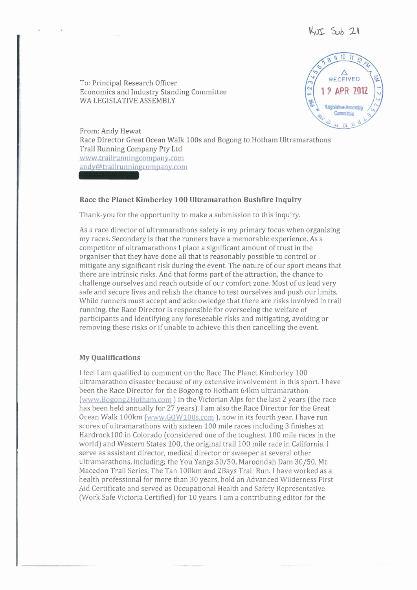To: Principal Research Officer Economics and Industry Standing Committee WA LEGISLATIVE ASSEMBLY



From: Andy Hewat Race Director Great Ocean Walk 100s and Bogong to Hotham Ultramarathons Trail Running Company Pty Ltd www.trailrunningcompany.com andy@trailrunningcompany.com

# **Race the Planet Kimberley 100 Ultramarathon Bushfire Inquiry**

Thank-you for the opportunity to make a submission to this inquiry.

As a race director of ultramarathons safety is my primary focus when organising my races. Secondary is that the runners have a memorable experience. As a competitor of ultramarathons 1 place a significant amount of trust in the organiser that they have done all that is reasonably possible to control or mitigate any significant risk during the event. The nature of our sport means that there are intrinsic risks. And that forms part of the attraction, the chance to challenge ourselves and reach outside of our comfort zone. Most of us lead very safe and secure lives and relish the chance to test ourselves and push our limits. While runners must accept and acknowledge that there are risks involved in trail running, the Race Director is responsible for overseeing the welfare of participants and identifying any foreseeable risks and mitigating, avoiding or removing these risks or if unable to achieve this then cancelling the event.

#### **My Qualifications**

I feel I am qualified to comment on the Race The Planet Kimberley 100 ultramarathon disaster because of my extensive involvement in this sport. I have been the Race Director for the Bogong to Hotham 64km ultramarathon (www.Bogong2Hotham.com ) in the Victorian Alps for the last 2 years (the race has been held annually for 27 years). I am also the Race Director for the Great Ocean Walk 100km (www.GOWlOOs.com *),* now in its fourth year. I have run scores of ultramarathons with sixteen 100 mile races including 3 finishes at HardrocklOO in Colorado (considered one of the toughest 100 mile races in the world) and Western States 100, the original trail 100 mile race in California. I serve as assistant director, medical director or sweeper at several other ultramarathons, including: the You Yangs 50/50, Maroondah Dam 30/50, Mt Macedon Trail Series, The Tan 100km and 2Bays Trail Run. I have worked as a health professional for more than 30 years, hold an Advanced Wilderness First Aid Certificate and served as Occupational Health and Safety Representative (Work Safe Victoria Certified) for 10 years. I am a contributing editor for the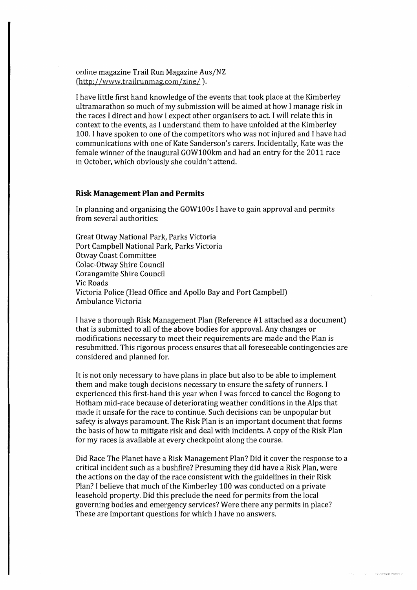online magazine Trail Run Magazine Aus/NZ (http://www.trailrunmag.com/zine/).

I have little first hand knowledge of the events that took place at the Kimberley ultramarathon so much of my submission will be aimed at how I manage risk in the races I direct and how I expect other organisers to act. I will relate this in context to the events, as I understand them to have unfolded at the Kimberley 100. I have spoken to one of the competitors who was not injured and I have had communications with one of Kate Sanderson's carers. Incidentally, Kate was the female winner of the inaugural GOW100km and had an entry for the 2011 race in October, which obviously she couldn't attend.

## **Risk Management Plan and Permits**

In planning and organising the GOW100s I have to gain approval and permits from several authorities:

Great Otway National Park, Parks Victoria Port Campbell National Park, Parks Victoria Otway Coast Committee Colac-Otway Shire Council Corangamite Shire Council Vic Roads Victoria Police (Head Office and Apollo Bay and Port Campbell) Ambulance Victoria

I have a thorough Risk Management Plan (Reference #1 attached as a document) that is submitted to all of the above bodies for approval. Any changes or modifications necessary to meet their requirements are made and the Plan is resubmitted. This rigorous process ensures that all foreseeable contingencies are considered and planned for.

It is not only necessary to have plans in place but also to be able to implement them and make tough decisions necessary to ensure the safety of runners. I experienced this first-hand this year when I was forced to cancel the Bogong to Hotham mid-race because of deteriorating weather conditions in the Alps that made it unsafe for the race to continue. Such decisions can be unpopular but safety is always paramount. The Risk Plan is an important document that forms the basis of how to mitigate risk and deal with incidents. *A* copy of the Risk Plan for my races is available at every checkpoint along the course.

Did Race The Planet have a Risk Management Plan? Did it cover the response to a critical incident such as a bushfire? Presuming they did have a Risk Plan, were the actions on the day of the race consistent with the guidelines in their Risk Plan? I believe that much of the Kimberley 100 was conducted on a private leasehold property. Did this preclude the need for permits from the local governing bodies and emergency services? Were there any permits in place? These are important questions for which I have no answers.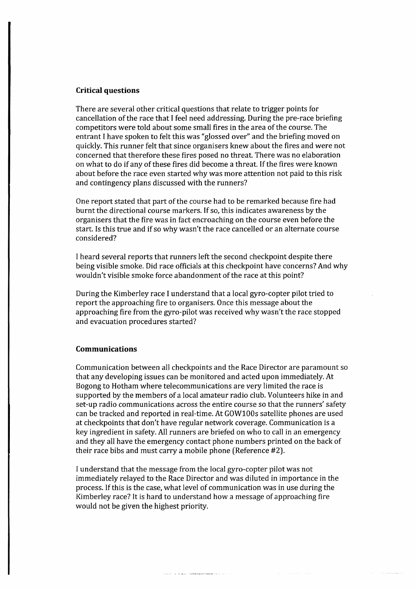## **Critical questions**

There are several other critical questions that relate to trigger points for cancellation of the race that I feel need addressing. During the pre-race briefing competitors were told about some small fires in the area of the course. The entrant I have spoken to felt this was "glossed over" and the briefing moved on quickly. This runner felt that since organisers knew about the fires and were not concerned that therefore these fires posed no threat. There was no elaboration on what to do if any of these fires did become a threat. If the fires were known about before the race even started why was more attention not paid to this risk and contingency plans discussed with the runners?

One report stated that part of the course had to be remarked because fire had burnt the directional course markers. If so, this indicates awareness by the organisers that the fire was in fact encroaching on the course even before the start. Is this true and if so why wasn't the race cancelled or an alternate course considered?

I heard several reports that runners left the second checkpoint despite there being visible smoke. Did race officials at this checkpoint have concerns? And why wouldn't visible smoke force abandonment of the race at this point?

During the Kimberley race I understand that a local gyro-copter pilot tried to report the approaching fire to organisers. Once this message about the approaching fire from the gyro-pilot was received why wasn't the race stopped and evacuation procedures started?

#### **Communications**

Communication between all checkpoints and the Race Director are paramount so that any developing issues can be monitored and acted upon immediately. At Bogong to Hotham where telecommunications are very limited the race is supported by the members of a local amateur radio club. Volunteers hike in and set-up radio communications across the entire course so that the runners' safety can be tracked and reported in real-time. At GOW100s satellite phones are used at checkpoints that don't have regular network coverage. Communication is a key ingredient in safety. All runners are briefed on who to call in an emergency and they all have the emergency contact phone numbers printed on the back of their race bibs and must carry a mobile phone (Reference #2).

I understand that the message from the local gyro-copter pilot was not immediately relayed to the Race Director and was diluted in importance in the process. If this is the case, what level of communication was in use during the Kimberley race? It is hard to understand how a message of approaching fire would not be given the highest priority.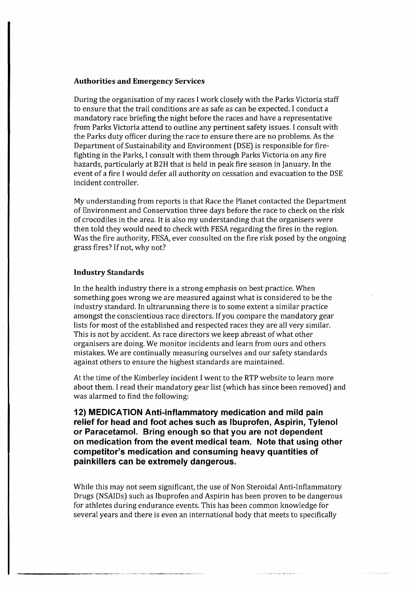# **Authorities and Emergency Services**

During the organisation of my races I work closely with the Parks Victoria staff to ensure that the trail conditions are as safe as can be expected. I conduct a mandatory race briefing the night before the races and have a representative from Parks Victoria attend to outline any pertinent safety issues. I consult with the Parks duty officer during the race to ensure there are no problems. As the Department of Sustainability and Environment (DSE) is responsible for firefighting in the Parks, I consult with them through Parks Victoria on any fire hazards, particularly at B2H that is held in peak fire season in January. In the event of a fire I would defer all authority on cessation and evacuation to the DSE incident controller.

My understanding from reports is that Race the Planet contacted the Department of Environment and Conservation three days before the race to check on the risk of crocodiles in the area. It is also my understanding that the organisers were then told they would need to check with FESA regarding the fires in the region. Was the fire authority, FESA, ever consulted on the fire risk posed by the ongoing grass fires? If not, why not?

# **Industry Standards**

In the health industry there is a strong emphasis on best practice. When something goes wrong we are measured against what is considered to be the industry standard. In ultrarunning there is to some extent a similar practice amongst the conscientious race directors. If you compare the mandatory gear lists for most of the established and respected races they are all very similar. This is not by accident. As race directors we keep abreast of what other organisers are doing. We monitor incidents and learn from ours and others mistakes. We are continually measuring ourselves and our safety standards against others to ensure the highest standards are maintained.

At the time of the Kimberley incident I went to the RTP website to learn more about them. I read their mandatory gear list (which has since been removed) and was alarmed to find the following:

**12) MEDICATION Anti-inflammatory medication and mild pain relief for head and foot aches such as Ibuprofen, Aspirin, Tylenol or Paracetamol. Bring enough so that you are not dependent on medication from the event medical team. Note that using other competitor's medication and consuming heavy quantities of painkillers can be extremely dangerous.** 

While this may not seem significant, the use of Non Steroidal Anti-Inflammatory Drugs (NSAIDs) such as Ibuprofen and Aspirin has been proven to be dangerous for athletes during endurance events. This has been common knowledge for several years and there is even an international body that meets to specifically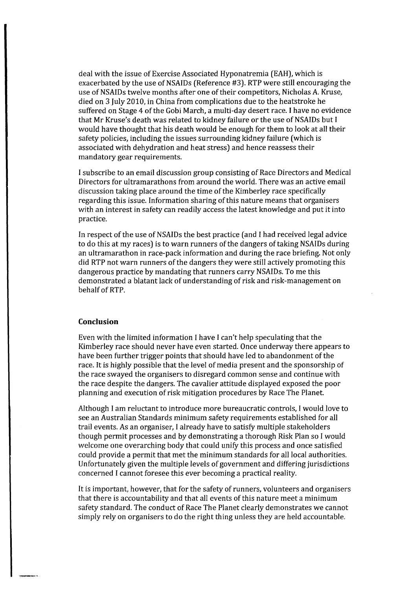deal with the issue of Exercise Associated Hyponatremia (EAH), which is exacerbated by the use of NSAIDs (Reference #3). RTP were still encouraging the use of NSAIDs twelve months after one of their competitors, Nicholas A. Kruse, died on 3 July 2010, in China from complications due to the heatstroke he suffered on Stage 4 of the Gobi March, a multi-day desert race. I have no evidence that Mr Kruse's death was related to kidney failure or the use of NSAIDs but I would have thought that his death would be enough for them to look at all their safety policies, including the issues surrounding kidney failure (which is associated with dehydration and heat stress) and hence reassess their mandatory gear requirements.

I subscribe to an email discussion group consisting of Race Directors and Medical Directors for ultramarathons from around the world. There was an active email discussion taking place around the time of the Kimberley race specifically regarding this issue. Information sharing of this nature means that organisers with an interest in safety can readily access the latest knowledge and put it into practice.

In respect of the use of NSAIDs the best practice (and I had received legal advice to do this at my races) is to warn runners of the dangers of taking NSAIDs during an ultramarathon in race-pack information and during the race briefing. Not only did RTP not warn runners of the dangers they were still actively promoting this dangerous practice by mandating that runners carry NSAIDs. To me this demonstrated a blatant lack of understanding of risk and risk-management on behalf of RTP.

#### **Conclusion**

Even with the limited information I have I can't help speculating that the Kimberley race should never have even started. Once underway there appears to have been further trigger points that should have led to abandonment of the race. It is highly possible that the level of media present and the sponsorship of the race swayed the organisers to disregard common sense and continue with the race despite the dangers. The cavalier attitude displayed exposed the poor planning and execution of risk mitigation procedures by Race The Planet.

Although I am reluctant to introduce more bureaucratic controls, I would love to see an Australian Standards minimum safety requirements established for all trail events. *As* an organiser, I already have to satisfy multiple stakeholders though permit processes and by demonstrating a thorough Risk Plan so I would welcome one overarching body that could unify this process and once satisfied could provide a permit that met the minimum standards for all local authorities. Unfortunately given the multiple levels of government and differing jurisdictions concerned I cannot foresee this ever becoming a practical reality.

It is important, however, that for the safety of runners, volunteers and organisers that there is accountability and that all events of this nature meet a minimum safety standard. The conduct of Race The Planet clearly demonstrates we cannot simply rely on organisers to do the right thing unless they are held accountable.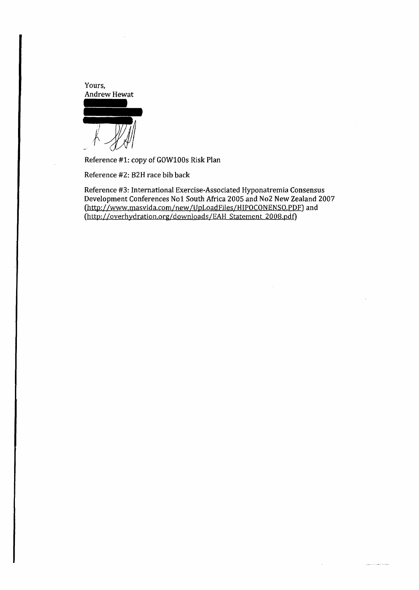Yours, Andrew Hewat

Reference #1: copy of GOW100s Risk Plan

Reference #2: B2H race bib back

Reference #3: International Exercise-Associated Hyponatremia Consensus Development Conferences No1 South Africa 2005 and No2 New Zealand 2007 (http: //www.masvida.com/new /UpLoadFiles/HIPOCONENSO.PDF) and (http://overhydration.org/downloads/EAH Statement 2008.pdf)

للمنتبذ وساددت